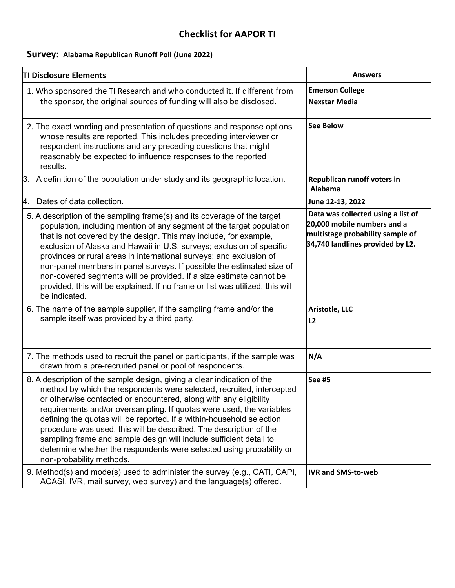## **Checklist for AAPOR TI**

## **Survey: Alabama Republican Runoff Poll (June 2022)**

| TI Disclosure Elements                                                                                                                                                                                                                                                                                                                                                                                                                                                                                                                                                                                                   | <b>Answers</b>                                                                                                                            |
|--------------------------------------------------------------------------------------------------------------------------------------------------------------------------------------------------------------------------------------------------------------------------------------------------------------------------------------------------------------------------------------------------------------------------------------------------------------------------------------------------------------------------------------------------------------------------------------------------------------------------|-------------------------------------------------------------------------------------------------------------------------------------------|
| 1. Who sponsored the TI Research and who conducted it. If different from<br>the sponsor, the original sources of funding will also be disclosed.                                                                                                                                                                                                                                                                                                                                                                                                                                                                         | <b>Emerson College</b><br><b>Nexstar Media</b>                                                                                            |
| 2. The exact wording and presentation of questions and response options<br>whose results are reported. This includes preceding interviewer or<br>respondent instructions and any preceding questions that might<br>reasonably be expected to influence responses to the reported<br>results.                                                                                                                                                                                                                                                                                                                             | <b>See Below</b>                                                                                                                          |
| 3. A definition of the population under study and its geographic location.                                                                                                                                                                                                                                                                                                                                                                                                                                                                                                                                               | Republican runoff voters in<br>Alabama                                                                                                    |
| Dates of data collection.<br>Α.                                                                                                                                                                                                                                                                                                                                                                                                                                                                                                                                                                                          | June 12-13, 2022                                                                                                                          |
| 5. A description of the sampling frame(s) and its coverage of the target<br>population, including mention of any segment of the target population<br>that is not covered by the design. This may include, for example,<br>exclusion of Alaska and Hawaii in U.S. surveys; exclusion of specific<br>provinces or rural areas in international surveys; and exclusion of<br>non-panel members in panel surveys. If possible the estimated size of<br>non-covered segments will be provided. If a size estimate cannot be<br>provided, this will be explained. If no frame or list was utilized, this will<br>be indicated. | Data was collected using a list of<br>20,000 mobile numbers and a<br>multistage probability sample of<br>34,740 landlines provided by L2. |
| 6. The name of the sample supplier, if the sampling frame and/or the<br>sample itself was provided by a third party.                                                                                                                                                                                                                                                                                                                                                                                                                                                                                                     | Aristotle, LLC<br>L2                                                                                                                      |
| 7. The methods used to recruit the panel or participants, if the sample was<br>drawn from a pre-recruited panel or pool of respondents.                                                                                                                                                                                                                                                                                                                                                                                                                                                                                  | N/A                                                                                                                                       |
| 8. A description of the sample design, giving a clear indication of the<br>method by which the respondents were selected, recruited, intercepted<br>or otherwise contacted or encountered, along with any eligibility<br>requirements and/or oversampling. If quotas were used, the variables<br>defining the quotas will be reported. If a within-household selection<br>procedure was used, this will be described. The description of the<br>sampling frame and sample design will include sufficient detail to<br>determine whether the respondents were selected using probability or<br>non-probability methods.   | <b>See #5</b>                                                                                                                             |
| 9. Method(s) and mode(s) used to administer the survey (e.g., CATI, CAPI,<br>ACASI, IVR, mail survey, web survey) and the language(s) offered.                                                                                                                                                                                                                                                                                                                                                                                                                                                                           | <b>IVR and SMS-to-web</b>                                                                                                                 |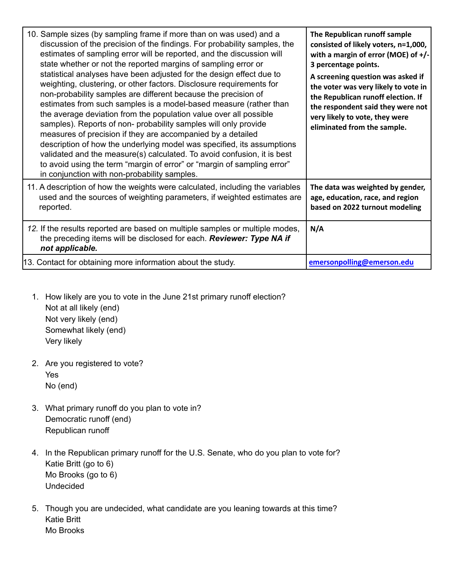| 10. Sample sizes (by sampling frame if more than on was used) and a<br>discussion of the precision of the findings. For probability samples, the<br>estimates of sampling error will be reported, and the discussion will<br>state whether or not the reported margins of sampling error or<br>statistical analyses have been adjusted for the design effect due to<br>weighting, clustering, or other factors. Disclosure requirements for<br>non-probability samples are different because the precision of<br>estimates from such samples is a model-based measure (rather than<br>the average deviation from the population value over all possible<br>samples). Reports of non- probability samples will only provide<br>measures of precision if they are accompanied by a detailed<br>description of how the underlying model was specified, its assumptions<br>validated and the measure(s) calculated. To avoid confusion, it is best<br>to avoid using the term "margin of error" or "margin of sampling error"<br>in conjunction with non-probability samples. | The Republican runoff sample<br>consisted of likely voters, n=1,000,<br>with a margin of error (MOE) of $+/-$<br>3 percentage points.<br>A screening question was asked if<br>the voter was very likely to vote in<br>the Republican runoff election. If<br>the respondent said they were not<br>very likely to vote, they were<br>eliminated from the sample. |
|---------------------------------------------------------------------------------------------------------------------------------------------------------------------------------------------------------------------------------------------------------------------------------------------------------------------------------------------------------------------------------------------------------------------------------------------------------------------------------------------------------------------------------------------------------------------------------------------------------------------------------------------------------------------------------------------------------------------------------------------------------------------------------------------------------------------------------------------------------------------------------------------------------------------------------------------------------------------------------------------------------------------------------------------------------------------------|----------------------------------------------------------------------------------------------------------------------------------------------------------------------------------------------------------------------------------------------------------------------------------------------------------------------------------------------------------------|
| 11. A description of how the weights were calculated, including the variables<br>used and the sources of weighting parameters, if weighted estimates are<br>reported.                                                                                                                                                                                                                                                                                                                                                                                                                                                                                                                                                                                                                                                                                                                                                                                                                                                                                                     | The data was weighted by gender,<br>age, education, race, and region<br>based on 2022 turnout modeling                                                                                                                                                                                                                                                         |
| 12. If the results reported are based on multiple samples or multiple modes,<br>the preceding items will be disclosed for each. Reviewer: Type NA if<br>not applicable.                                                                                                                                                                                                                                                                                                                                                                                                                                                                                                                                                                                                                                                                                                                                                                                                                                                                                                   | N/A                                                                                                                                                                                                                                                                                                                                                            |
| 13. Contact for obtaining more information about the study.                                                                                                                                                                                                                                                                                                                                                                                                                                                                                                                                                                                                                                                                                                                                                                                                                                                                                                                                                                                                               | emersonpolling@emerson.edu                                                                                                                                                                                                                                                                                                                                     |

- 1. How likely are you to vote in the June 21st primary runoff election? Not at all likely (end) Not very likely (end) Somewhat likely (end) Very likely
- 2. Are you registered to vote? Yes No (end)
- 3. What primary runoff do you plan to vote in? Democratic runoff (end) Republican runoff
- 4. In the Republican primary runoff for the U.S. Senate, who do you plan to vote for? Katie Britt (go to 6) Mo Brooks (go to 6) Undecided
- 5. Though you are undecided, what candidate are you leaning towards at this time? Katie Britt Mo Brooks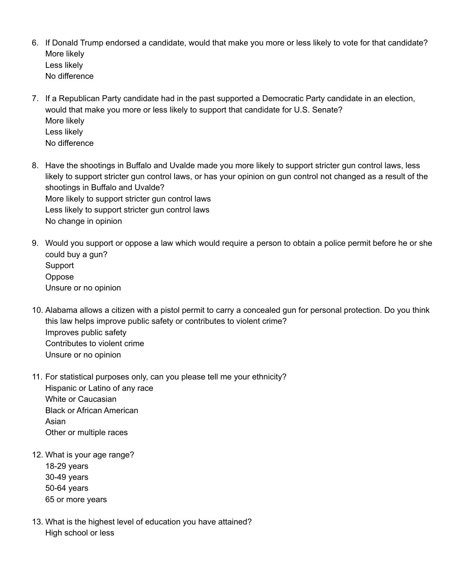- 6. If Donald Trump endorsed a candidate, would that make you more or less likely to vote for that candidate? More likely Less likely No difference
- 7. If a Republican Party candidate had in the past supported a Democratic Party candidate in an election, would that make you more or less likely to support that candidate for U.S. Senate? More likely Less likely No difference
- 8. Have the shootings in Buffalo and Uvalde made you more likely to support stricter gun control laws, less likely to support stricter gun control laws, or has your opinion on gun control not changed as a result of the shootings in Buffalo and Uvalde? More likely to support stricter gun control laws Less likely to support stricter gun control laws No change in opinion
- 9. Would you support or oppose a law which would require a person to obtain a police permit before he or she could buy a gun? **Support** Oppose Unsure or no opinion
- 10. Alabama allows a citizen with a pistol permit to carry a concealed gun for personal protection. Do you think this law helps improve public safety or contributes to violent crime? Improves public safety Contributes to violent crime Unsure or no opinion
- 11. For statistical purposes only, can you please tell me your ethnicity? Hispanic or Latino of any race White or Caucasian Black or African American Asian Other or multiple races
- 12. What is your age range? 18-29 years 30-49 years
	- 50-64 years 65 or more years
- 13. What is the highest level of education you have attained? High school or less